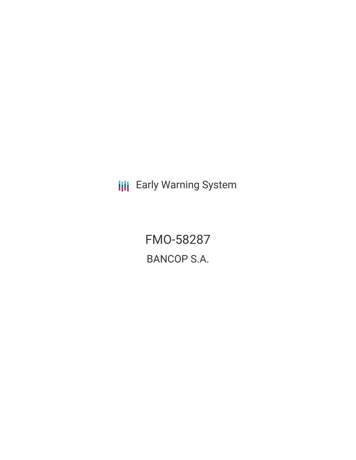**III** Early Warning System

FMO-58287 BANCOP S.A.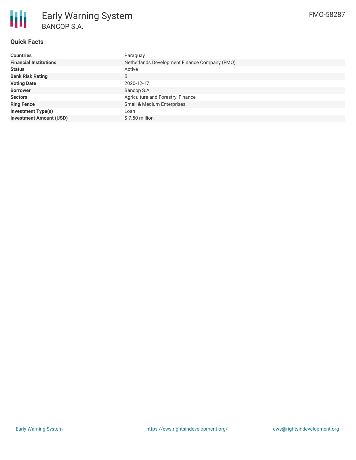

# **Quick Facts**

| <b>Countries</b>               | Paraguay                                      |
|--------------------------------|-----------------------------------------------|
| <b>Financial Institutions</b>  | Netherlands Development Finance Company (FMO) |
| <b>Status</b>                  | Active                                        |
| <b>Bank Risk Rating</b>        | B                                             |
| <b>Voting Date</b>             | 2020-12-17                                    |
| <b>Borrower</b>                | Bancop S.A.                                   |
| <b>Sectors</b>                 | Agriculture and Forestry, Finance             |
| <b>Ring Fence</b>              | Small & Medium Enterprises                    |
| <b>Investment Type(s)</b>      | Loan                                          |
| <b>Investment Amount (USD)</b> | \$7.50 million                                |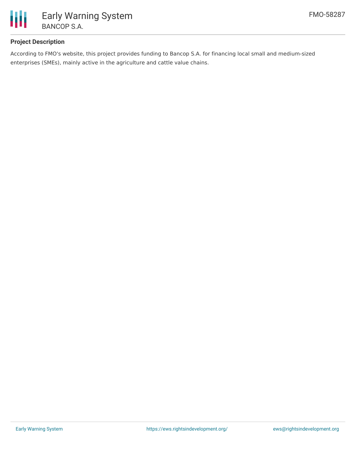

# **Project Description**

According to FMO's website, this project provides funding to Bancop S.A. for financing local small and medium-sized enterprises (SMEs), mainly active in the agriculture and cattle value chains.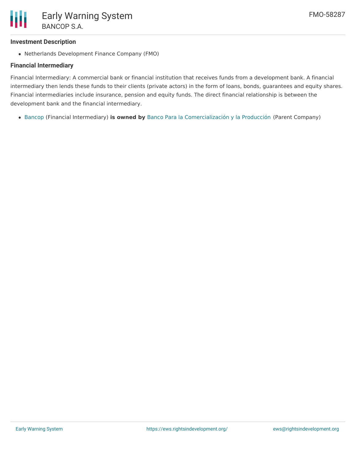## **Investment Description**

Netherlands Development Finance Company (FMO)

# **Financial Intermediary**

Financial Intermediary: A commercial bank or financial institution that receives funds from a development bank. A financial intermediary then lends these funds to their clients (private actors) in the form of loans, bonds, guarantees and equity shares. Financial intermediaries include insurance, pension and equity funds. The direct financial relationship is between the development bank and the financial intermediary.

[Bancop](file:///actor/3984/) (Financial Intermediary) **is owned by** Banco Para la [Comercialización](file:///actor/4145/) y la Producción (Parent Company)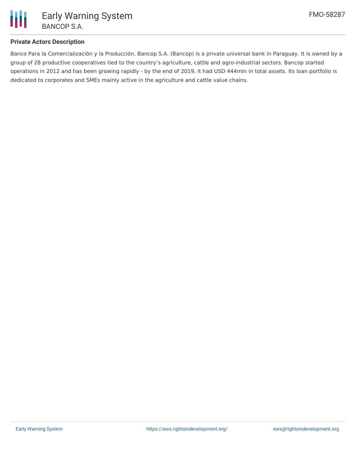

## **Private Actors Description**

Banco Para la Comercialización y la Producción, Bancop S.A. (Bancop) is a private universal bank in Paraguay. It is owned by a group of 28 productive cooperatives tied to the country's agriculture, cattle and agro-industrial sectors. Bancop started operations in 2012 and has been growing rapidly - by the end of 2019, it had USD 444mln in total assets. Its loan portfolio is dedicated to corporates and SMEs mainly active in the agriculture and cattle value chains.